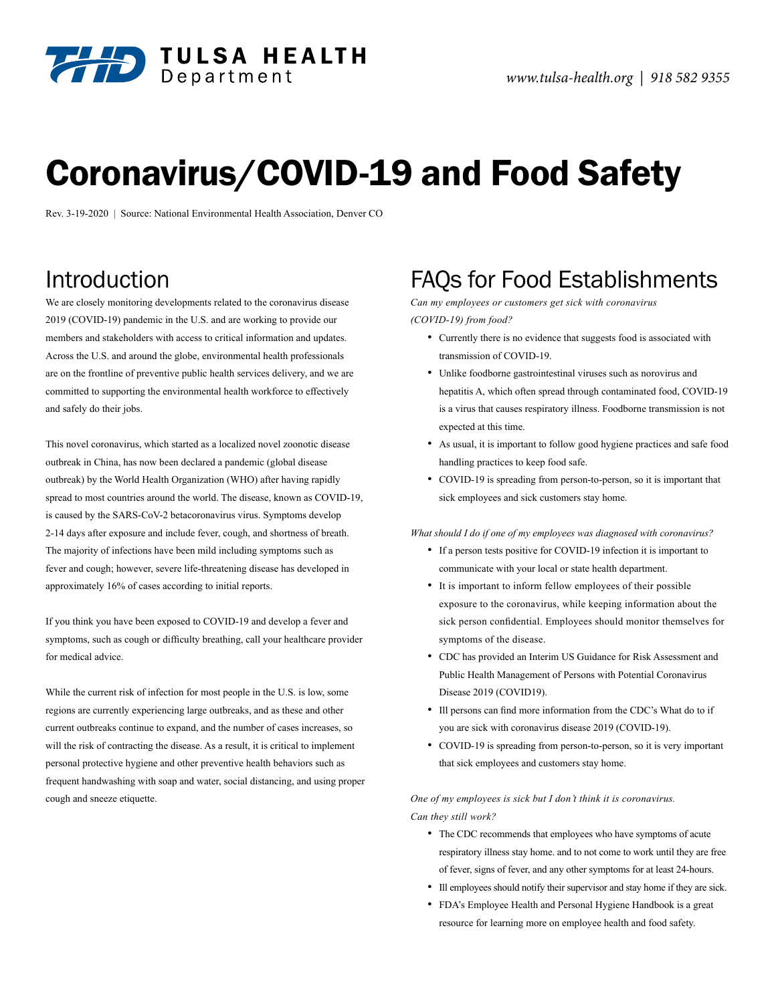

# Coronavirus/COVID-19 and Food Safety

Rev. 3-19-2020 | Source: National Environmental Health Association, Denver CO

# Introduction

We are closely monitoring developments related to the coronavirus disease 2019 (COVID-19) pandemic in the U.S. and are working to provide our members and stakeholders with access to critical information and updates. Across the U.S. and around the globe, environmental health professionals are on the frontline of preventive public health services delivery, and we are committed to supporting the environmental health workforce to effectively and safely do their jobs.

This novel coronavirus, which started as a localized novel zoonotic disease outbreak in China, has now been declared a pandemic (global disease outbreak) by the World Health Organization (WHO) after having rapidly spread to most countries around the world. The disease, known as COVID-19, is caused by the SARS-CoV-2 betacoronavirus virus. Symptoms develop 2-14 days after exposure and include fever, cough, and shortness of breath. The majority of infections have been mild including symptoms such as fever and cough; however, severe life-threatening disease has developed in approximately 16% of cases according to initial reports.

If you think you have been exposed to COVID-19 and develop a fever and symptoms, such as cough or difficulty breathing, call your healthcare provider for medical advice.

While the current risk of infection for most people in the U.S. is low, some regions are currently experiencing large outbreaks, and as these and other current outbreaks continue to expand, and the number of cases increases, so will the risk of contracting the disease. As a result, it is critical to implement personal protective hygiene and other preventive health behaviors such as frequent handwashing with soap and water, social distancing, and using proper cough and sneeze etiquette.

# FAQs for Food Establishments

*Can my employees or customers get sick with coronavirus (COVID-19) from food?*

- Currently there is no evidence that suggests food is associated with transmission of COVID-19.
- Unlike foodborne gastrointestinal viruses such as norovirus and hepatitis A, which often spread through contaminated food, COVID-19 is a virus that causes respiratory illness. Foodborne transmission is not expected at this time.
- As usual, it is important to follow good hygiene practices and safe food handling practices to keep food safe.
- COVID-19 is spreading from person-to-person, so it is important that sick employees and sick customers stay home.

*What should I do if one of my employees was diagnosed with coronavirus?*

- If a person tests positive for COVID-19 infection it is important to communicate with your local or state health department.
- It is important to inform fellow employees of their possible exposure to the coronavirus, while keeping information about the sick person confidential. Employees should monitor themselves for symptoms of the disease.
- CDC has provided an Interim US Guidance for Risk Assessment and Public Health Management of Persons with Potential Coronavirus Disease 2019 (COVID19).
- Ill persons can find more information from the CDC's What do to if you are sick with coronavirus disease 2019 (COVID-19).
- COVID-19 is spreading from person-to-person, so it is very important that sick employees and customers stay home.

*One of my employees is sick but I don't think it is coronavirus. Can they still work?*

- The CDC recommends that employees who have symptoms of acute respiratory illness stay home. and to not come to work until they are free of fever, signs of fever, and any other symptoms for at least 24-hours.
- Ill employees should notify their supervisor and stay home if they are sick.
- FDA's Employee Health and Personal Hygiene Handbook is a great resource for learning more on employee health and food safety.